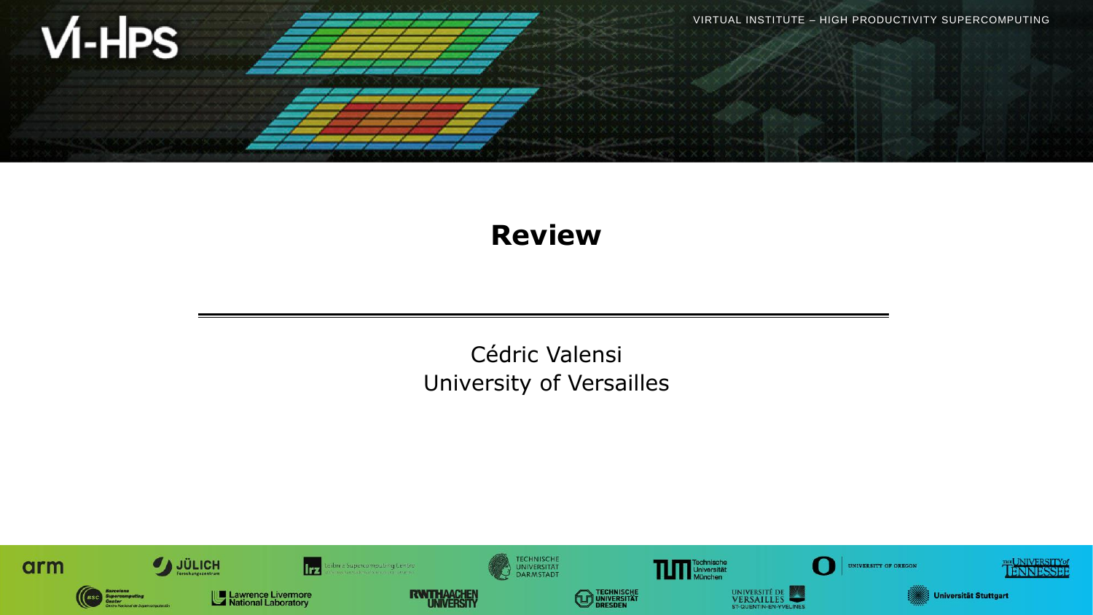

### **Review**

Cédric Valensi University of Versailles

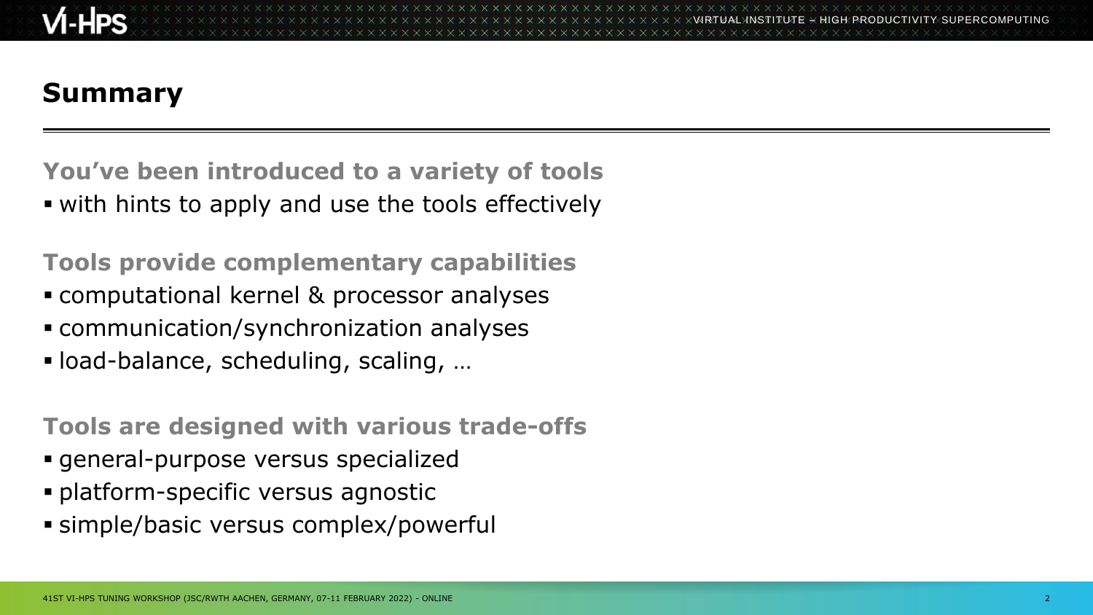# **Summary**

**You've been introduced to a variety of tools .** with hints to apply and use the tools effectively

**Tools provide complementary capabilities**

- computational kernel & processor analyses
- communication/synchronization analyses
- load-balance, scheduling, scaling, …

**Tools are designed with various trade-offs**

- general-purpose versus specialized
- **· platform-specific versus agnostic**
- **E** simple/basic versus complex/powerful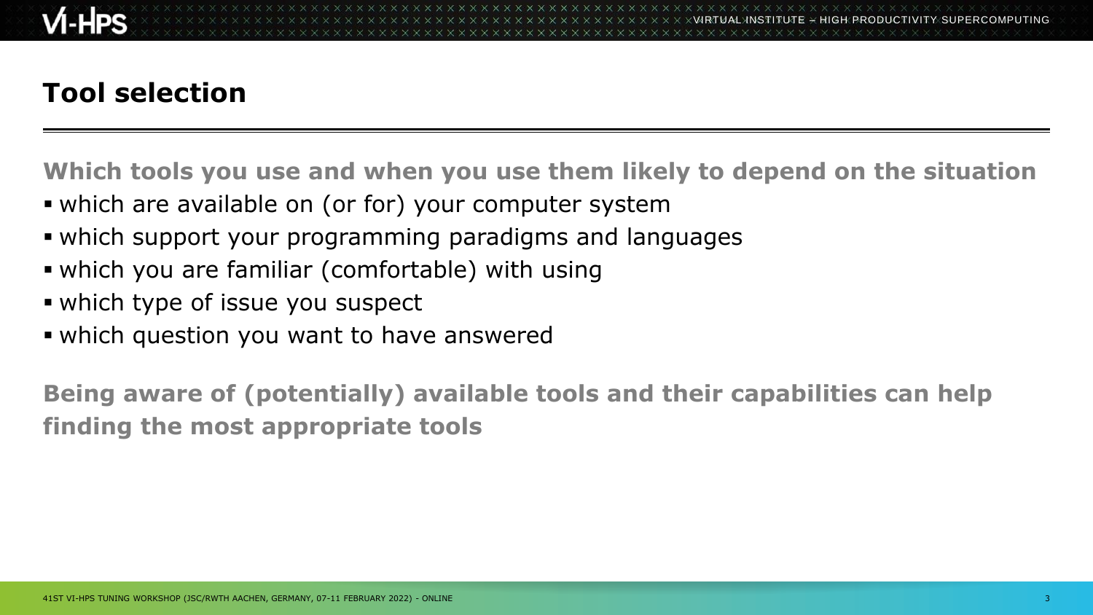## **Tool selection**

**Which tools you use and when you use them likely to depend on the situation**

- which are available on (or for) your computer system
- which support your programming paradigms and languages
- which you are familiar (comfortable) with using
- **.** which type of issue you suspect
- which question you want to have answered

**Being aware of (potentially) available tools and their capabilities can help finding the most appropriate tools**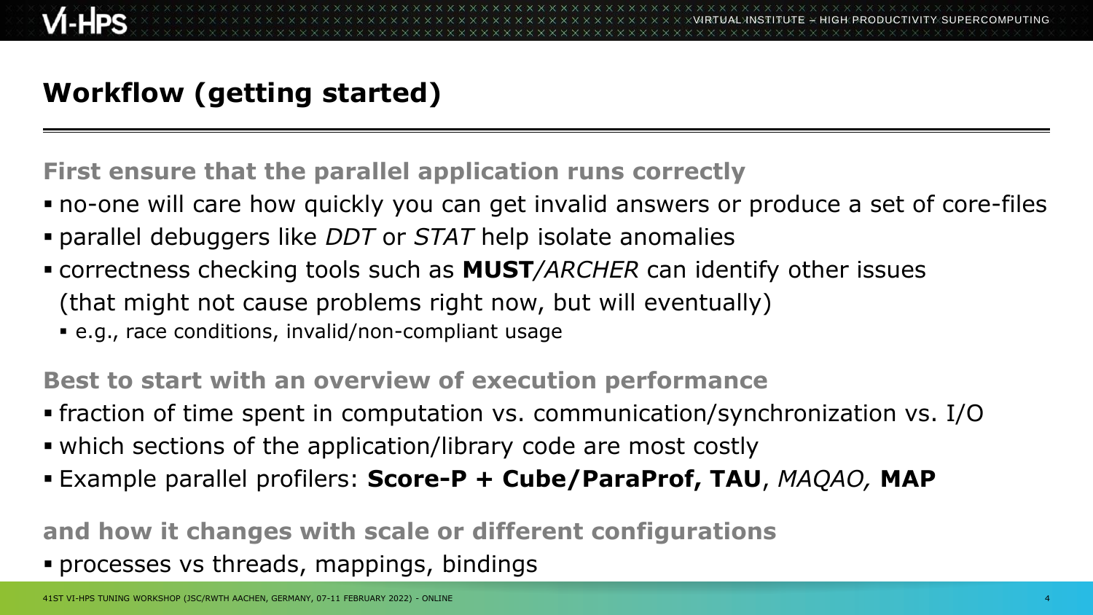## **Workflow (getting started)**

**First ensure that the parallel application runs correctly**

- no-one will care how quickly you can get invalid answers or produce a set of core-files
- parallel debuggers like *DDT* or *STAT* help isolate anomalies
- correctness checking tools such as **MUST***/ARCHER* can identify other issues (that might not cause problems right now, but will eventually)
	- e.g., race conditions, invalid/non-compliant usage

**Best to start with an overview of execution performance**

▪ fraction of time spent in computation vs. communication/synchronization vs. I/O

- which sections of the application/library code are most costly
- Example parallel profilers: **Score-P + Cube/ParaProf, TAU**, *MAQAO,* **MAP**

**and how it changes with scale or different configurations** ▪ processes vs threads, mappings, bindings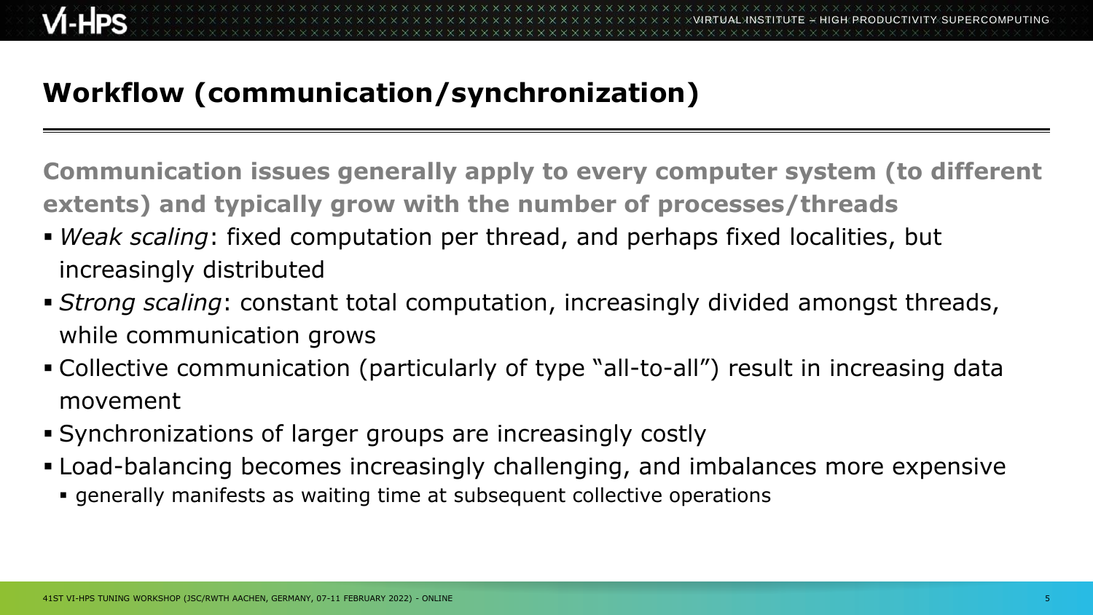## **Workflow (communication/synchronization)**

**Communication issues generally apply to every computer system (to different extents) and typically grow with the number of processes/threads**

- *Weak scaling*: fixed computation per thread, and perhaps fixed localities, but increasingly distributed
- **E** *Strong scaling*: constant total computation, increasingly divided amongst threads, while communication grows
- Collective communication (particularly of type "all-to-all") result in increasing data movement
- Synchronizations of larger groups are increasingly costly
- **EXAM** Load-balancing becomes increasingly challenging, and imbalances more expensive
	- generally manifests as waiting time at subsequent collective operations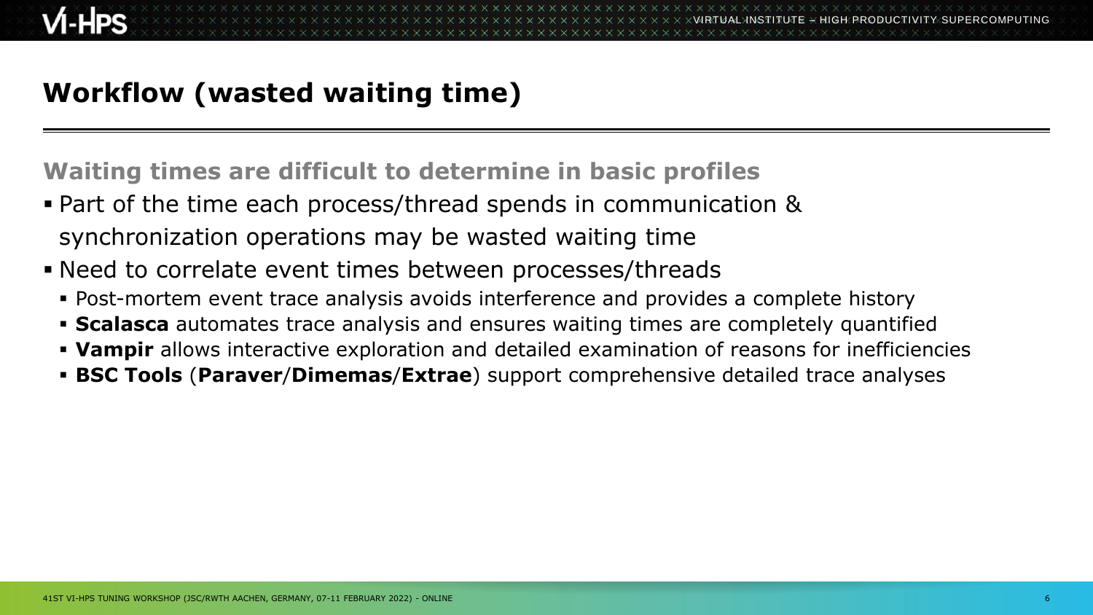## **Workflow (wasted waiting time)**

**Waiting times are difficult to determine in basic profiles**

- Part of the time each process/thread spends in communication & synchronization operations may be wasted waiting time
- Need to correlate event times between processes/threads
	- **Post-mortem event trace analysis avoids interference and provides a complete history**
	- **Scalasca** automates trace analysis and ensures waiting times are completely quantified
	- **Vampir** allows interactive exploration and detailed examination of reasons for inefficiencies
	- **BSC Tools** (**Paraver**/**Dimemas**/**Extrae**) support comprehensive detailed trace analyses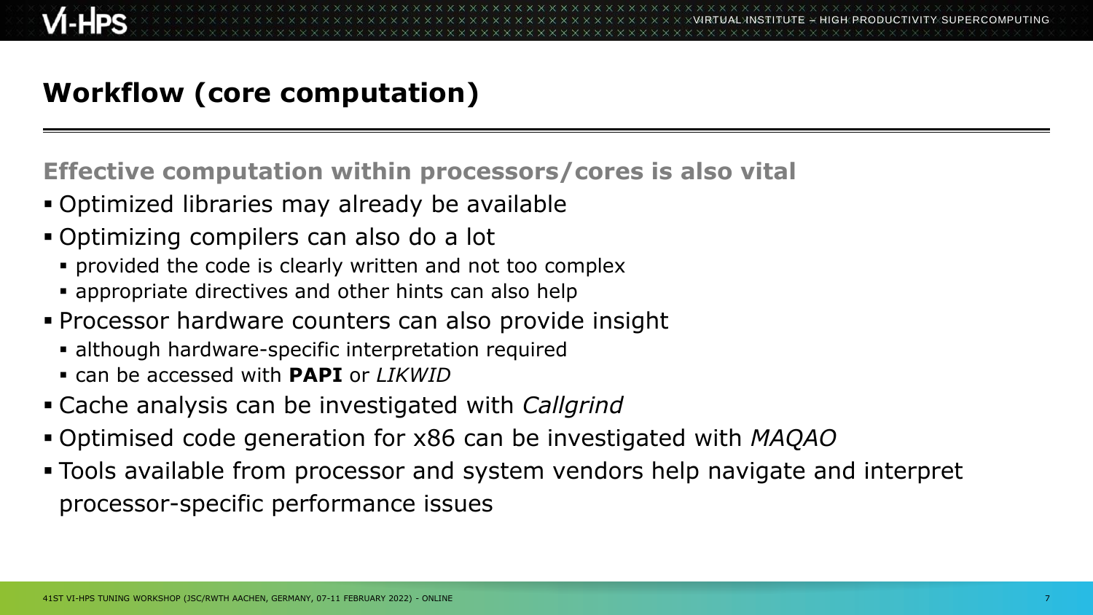## **Workflow (core computation)**

**Effective computation within processors/cores is also vital**

- Optimized libraries may already be available
- Optimizing compilers can also do a lot
	- provided the code is clearly written and not too complex
	- **E** appropriate directives and other hints can also help
- **Processor hardware counters can also provide insight** 
	- although hardware-specific interpretation required
	- can be accessed with **PAPI** or *LIKWID*
- Cache analysis can be investigated with *Callgrind*
- Optimised code generation for x86 can be investigated with *MAQAO*
- Tools available from processor and system vendors help navigate and interpret processor-specific performance issues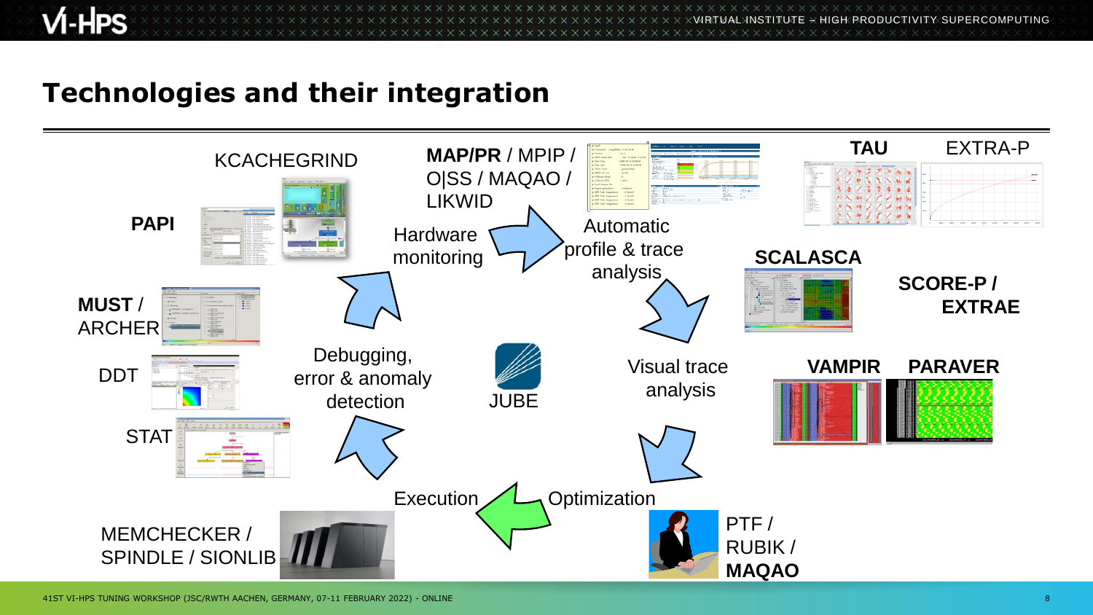$\times$ VIRTUAL $\times$ ITUTE  $\times$  HIGH PRODUCTIVITY SUPERCOMPUTING

#### **Technologies and their integration**

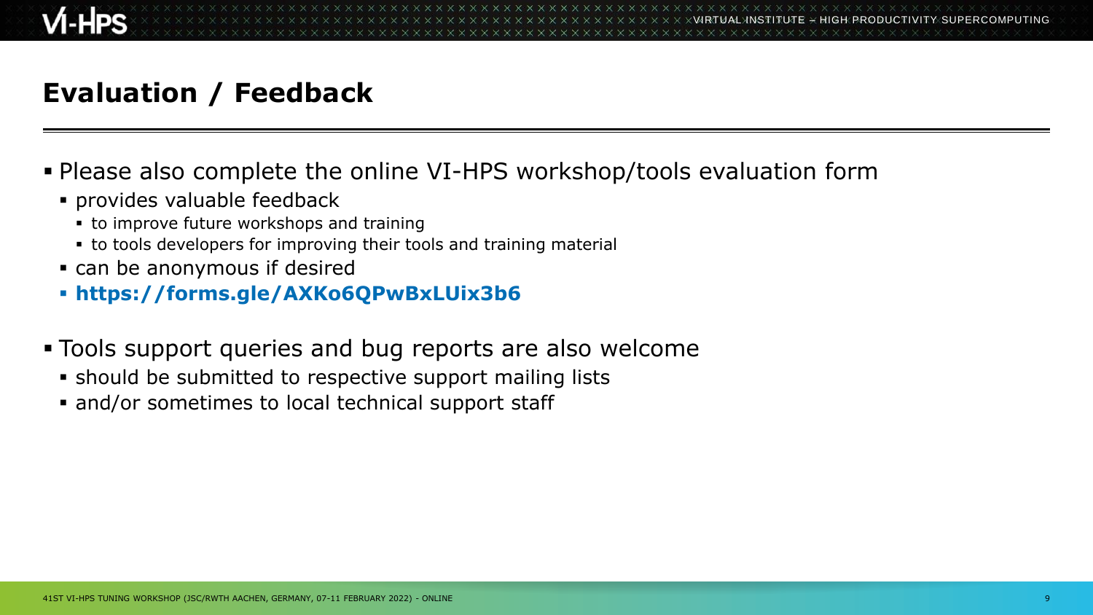## **Evaluation / Feedback**

#### ▪ Please also complete the online VI-HPS workshop/tools evaluation form

- provides valuable feedback
	- **to improve future workshops and training**
	- **to tools developers for improving their tools and training material**
- can be anonymous if desired
- **https://forms.gle/AXKo6QPwBxLUix3b6**
- Tools support queries and bug reports are also welcome
	- should be submitted to respective support mailing lists
	- and/or sometimes to local technical support staff